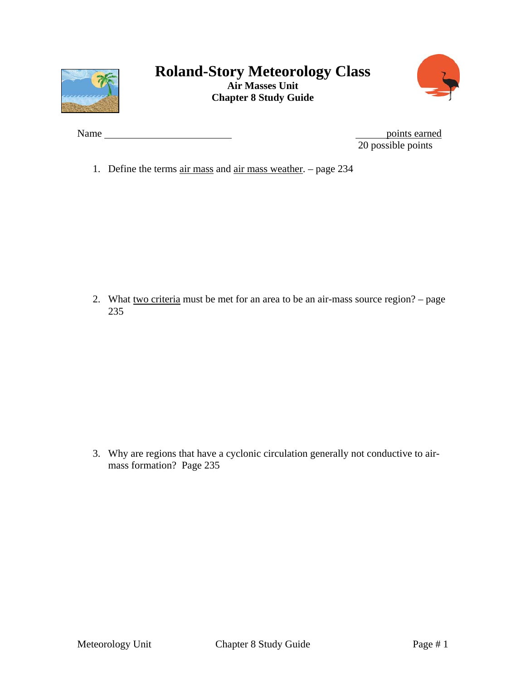



Name points earned 20 possible points

1. Define the terms air mass and air mass weather. – page 234

2. What two criteria must be met for an area to be an air-mass source region? – page 235

3. Why are regions that have a cyclonic circulation generally not conductive to airmass formation? Page 235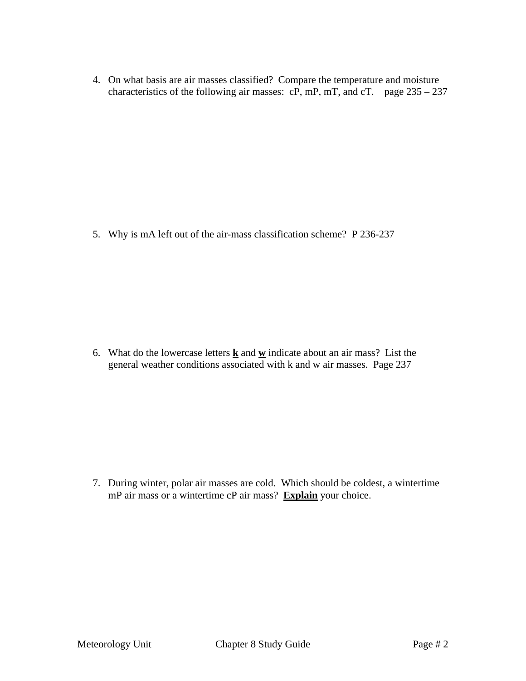4. On what basis are air masses classified? Compare the temperature and moisture characteristics of the following air masses:  $cP$ , mP, mT, and  $cT$ . page 235 – 237

5. Why is  $\underline{mA}$  left out of the air-mass classification scheme? P 236-237

6. What do the lowercase letters  $\underline{\mathbf{k}}$  and  $\underline{\mathbf{w}}$  indicate about an air mass? List the general weather conditions associated with k and w air masses. Page 237

7. During winter, polar air masses are cold. Which should be coldest, a wintertime mP air mass or a wintertime cP air mass? **Explain** your choice.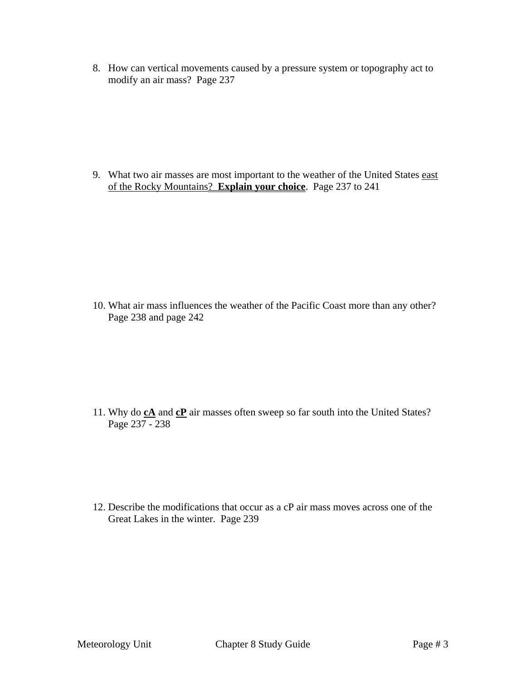8. How can vertical movements caused by a pressure system or topography act to modify an air mass? Page 237

9. What two air masses are most important to the weather of the United States east of the Rocky Mountains? **Explain your choice**. Page 237 to 241

10. What air mass influences the weather of the Pacific Coast more than any other? Page 238 and page 242

11. Why do **cA** and **cP** air masses often sweep so far south into the United States? Page 237 - 238

12. Describe the modifications that occur as a cP air mass moves across one of the Great Lakes in the winter. Page 239